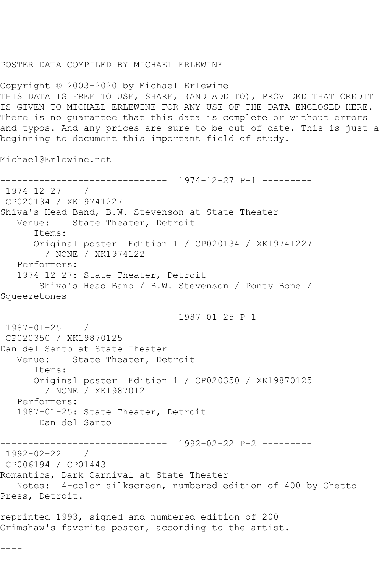## POSTER DATA COMPILED BY MICHAEL ERLEWINE

Copyright © 2003-2020 by Michael Erlewine THIS DATA IS FREE TO USE, SHARE, (AND ADD TO), PROVIDED THAT CREDIT IS GIVEN TO MICHAEL ERLEWINE FOR ANY USE OF THE DATA ENCLOSED HERE. There is no guarantee that this data is complete or without errors and typos. And any prices are sure to be out of date. This is just a beginning to document this important field of study.

Michael@Erlewine.net

------------------------------ 1974-12-27 P-1 --------- 1974-12-27 / CP020134 / XK19741227 Shiva's Head Band, B.W. Stevenson at State Theater Venue: State Theater, Detroit Items: Original poster Edition 1 / CP020134 / XK19741227 / NONE / XK1974122 Performers: 1974-12-27: State Theater, Detroit Shiva's Head Band / B.W. Stevenson / Ponty Bone / Squeezetones ------------------------------ 1987-01-25 P-1 --------- 1987-01-25 / CP020350 / XK19870125 Dan del Santo at State Theater Venue: State Theater, Detroit Items: Original poster Edition 1 / CP020350 / XK19870125 / NONE / XK1987012 Performers: 1987-01-25: State Theater, Detroit Dan del Santo ------------------------------ 1992-02-22 P-2 --------- 1992-02-22 / CP006194 / CP01443 Romantics, Dark Carnival at State Theater Notes: 4-color silkscreen, numbered edition of 400 by Ghetto Press, Detroit. reprinted 1993, signed and numbered edition of 200 Grimshaw's favorite poster, according to the artist.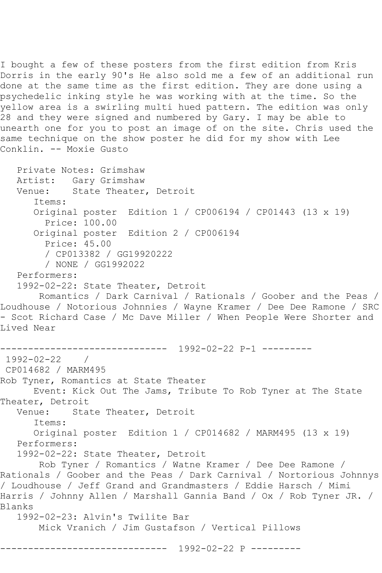I bought a few of these posters from the first edition from Kris Dorris in the early 90's He also sold me a few of an additional run done at the same time as the first edition. They are done using a psychedelic inking style he was working with at the time. So the yellow area is a swirling multi hued pattern. The edition was only 28 and they were signed and numbered by Gary. I may be able to unearth one for you to post an image of on the site. Chris used the same technique on the show poster he did for my show with Lee Conklin. -- Moxie Gusto

 Private Notes: Grimshaw Artist: Gary Grimshaw<br>Venue: State Theater State Theater, Detroit Items: Original poster Edition 1 / CP006194 / CP01443 (13 x 19) Price: 100.00 Original poster Edition 2 / CP006194 Price: 45.00 / CP013382 / GG19920222 / NONE / GG1992022 Performers: 1992-02-22: State Theater, Detroit Romantics / Dark Carnival / Rationals / Goober and the Peas / Loudhouse / Notorious Johnnies / Wayne Kramer / Dee Dee Ramone / SRC - Scot Richard Case / Mc Dave Miller / When People Were Shorter and Lived Near ------------------------------ 1992-02-22 P-1 --------- 1992-02-22 / CP014682 / MARM495 Rob Tyner, Romantics at State Theater Event: Kick Out The Jams, Tribute To Rob Tyner at The State Theater, Detroit<br>Venue: Sta State Theater, Detroit Items: Original poster Edition 1 / CP014682 / MARM495 (13 x 19) Performers: 1992-02-22: State Theater, Detroit Rob Tyner / Romantics / Watne Kramer / Dee Dee Ramone / Rationals / Goober and the Peas / Dark Carnival / Nortorious Johnnys / Loudhouse / Jeff Grand and Grandmasters / Eddie Harsch / Mimi Harris / Johnny Allen / Marshall Gannia Band / Ox / Rob Tyner JR. / Blanks 1992-02-23: Alvin's Twilite Bar Mick Vranich / Jim Gustafson / Vertical Pillows

------------------------------ 1992-02-22 P ---------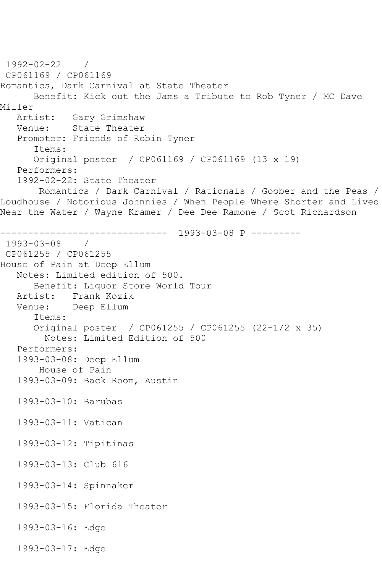1992-02-22 / CP061169 / CP061169 Romantics, Dark Carnival at State Theater Benefit: Kick out the Jams a Tribute to Rob Tyner / MC Dave Miller<br>Artist: Artist: Gary Grimshaw<br>Venue: State Theater State Theater Promoter: Friends of Robin Tyner Items: Original poster / CP061169 / CP061169 (13 x 19) Performers: 1992-02-22: State Theater Romantics / Dark Carnival / Rationals / Goober and the Peas / Loudhouse / Notorious Johnnies / When People Where Shorter and Lived Near the Water / Wayne Kramer / Dee Dee Ramone / Scot Richardson ------------------------------ 1993-03-08 P --------- 1993-03-08 / CP061255 / CP061255 House of Pain at Deep Ellum Notes: Limited edition of 500. Benefit: Liquor Store World Tour Artist: Frank Kozik<br>Venue: Deep Ellum Deep Ellum Items: Original poster / CP061255 / CP061255 (22-1/2 x 35) Notes: Limited Edition of 500 Performers: 1993-03-08: Deep Ellum House of Pain 1993-03-09: Back Room, Austin 1993-03-10: Barubas 1993-03-11: Vatican 1993-03-12: Tipitinas 1993-03-13: Club 616 1993-03-14: Spinnaker 1993-03-15: Florida Theater 1993-03-16: Edge 1993-03-17: Edge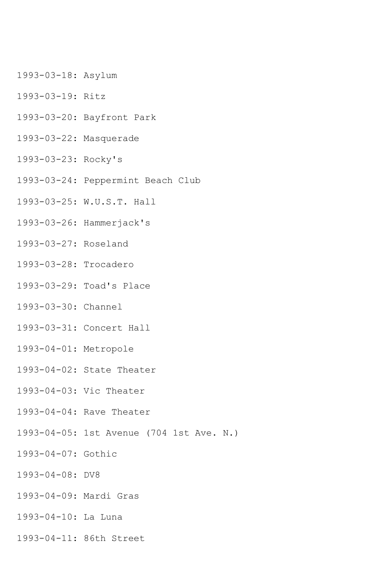- 1993-03-18: Asylum
- 1993-03-19: Ritz
- 1993-03-20: Bayfront Park
- 1993-03-22: Masquerade
- 1993-03-23: Rocky's
- 1993-03-24: Peppermint Beach Club
- 1993-03-25: W.U.S.T. Hall
- 1993-03-26: Hammerjack's
- 1993-03-27: Roseland
- 1993-03-28: Trocadero
- 1993-03-29: Toad's Place
- 1993-03-30: Channel
- 1993-03-31: Concert Hall
- 1993-04-01: Metropole
- 1993-04-02: State Theater
- 1993-04-03: Vic Theater
- 1993-04-04: Rave Theater
- 1993-04-05: 1st Avenue (704 1st Ave. N.)
- 1993-04-07: Gothic
- 1993-04-08: DV8
- 1993-04-09: Mardi Gras
- 1993-04-10: La Luna
- 1993-04-11: 86th Street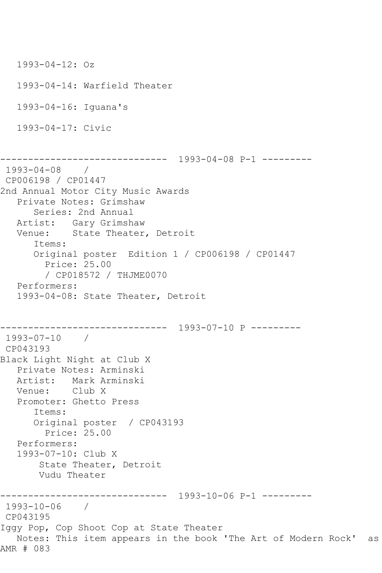```
 1993-04-12: Oz
   1993-04-14: Warfield Theater
    1993-04-16: Iguana's
    1993-04-17: Civic
                  ------------------------------ 1993-04-08 P-1 ---------
1993-04-08 / 
CP006198 / CP01447
2nd Annual Motor City Music Awards
   Private Notes: Grimshaw
       Series: 2nd Annual
   Artist: Gary Grimshaw
   Venue: State Theater, Detroit
       Items:
       Original poster Edition 1 / CP006198 / CP01447
         Price: 25.00
         / CP018572 / THJME0070
    Performers:
    1993-04-08: State Theater, Detroit
         ------------------------------ 1993-07-10 P ---------
1993-07-10 / 
CP043193
Black Light Night at Club X
   Private Notes: Arminski
   Artist: Mark Arminski
   Venue: Club X
    Promoter: Ghetto Press
       Items:
       Original poster / CP043193
         Price: 25.00
   Performers:
    1993-07-10: Club X
        State Theater, Detroit
        Vudu Theater
------------------------------ 1993-10-06 P-1 ---------
1993-10-06 / 
CP043195
Iggy Pop, Cop Shoot Cop at State Theater
   Notes: This item appears in the book 'The Art of Modern Rock' as 
AMR # 083
```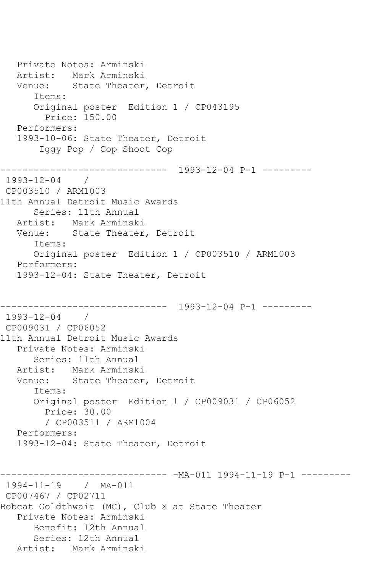Private Notes: Arminski Artist: Mark Arminski Venue: State Theater, Detroit Items: Original poster Edition 1 / CP043195 Price: 150.00 Performers: 1993-10-06: State Theater, Detroit Iggy Pop / Cop Shoot Cop ------------------------------ 1993-12-04 P-1 --------- 1993-12-04 / CP003510 / ARM1003 11th Annual Detroit Music Awards Series: 11th Annual Artist: Mark Arminski Venue: State Theater, Detroit Items: Original poster Edition 1 / CP003510 / ARM1003 Performers: 1993-12-04: State Theater, Detroit ------------------------------ 1993-12-04 P-1 --------- 1993-12-04 / CP009031 / CP06052 11th Annual Detroit Music Awards Private Notes: Arminski Series: 11th Annual Artist: Mark Arminski Venue: State Theater, Detroit Items: Original poster Edition 1 / CP009031 / CP06052 Price: 30.00 / CP003511 / ARM1004 Performers: 1993-12-04: State Theater, Detroit ------------------------------ -MA-011 1994-11-19 P-1 --------- 1994-11-19 / MA-011 CP007467 / CP02711 Bobcat Goldthwait (MC), Club X at State Theater Private Notes: Arminski Benefit: 12th Annual Series: 12th Annual Artist: Mark Arminski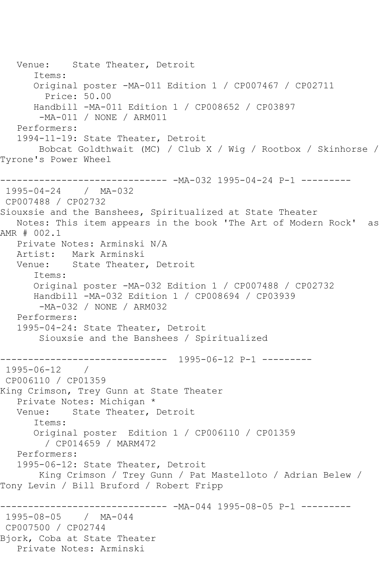Venue: State Theater, Detroit Items: Original poster -MA-011 Edition 1 / CP007467 / CP02711 Price: 50.00 Handbill -MA-011 Edition 1 / CP008652 / CP03897 -MA-011 / NONE / ARM011 Performers: 1994-11-19: State Theater, Detroit Bobcat Goldthwait (MC) / Club X / Wig / Rootbox / Skinhorse / Tyrone's Power Wheel ------------------------------ -MA-032 1995-04-24 P-1 --------- 1995-04-24 / MA-032 CP007488 / CP02732 Siouxsie and the Banshees, Spiritualized at State Theater Notes: This item appears in the book 'The Art of Modern Rock' as AMR # 002.1 Private Notes: Arminski N/A Artist: Mark Arminski Venue: State Theater, Detroit Items: Original poster -MA-032 Edition 1 / CP007488 / CP02732 Handbill -MA-032 Edition 1 / CP008694 / CP03939 -MA-032 / NONE / ARM032 Performers: 1995-04-24: State Theater, Detroit Siouxsie and the Banshees / Spiritualized ------------------------------ 1995-06-12 P-1 --------- 1995-06-12 / CP006110 / CP01359 King Crimson, Trey Gunn at State Theater Private Notes: Michigan \*<br>Venue: State Theater, State Theater, Detroit Items: Original poster Edition 1 / CP006110 / CP01359 / CP014659 / MARM472 Performers: 1995-06-12: State Theater, Detroit King Crimson / Trey Gunn / Pat Mastelloto / Adrian Belew / Tony Levin / Bill Bruford / Robert Fripp ------------------------------ -MA-044 1995-08-05 P-1 --------- 1995-08-05 / MA-044 CP007500 / CP02744 Bjork, Coba at State Theater Private Notes: Arminski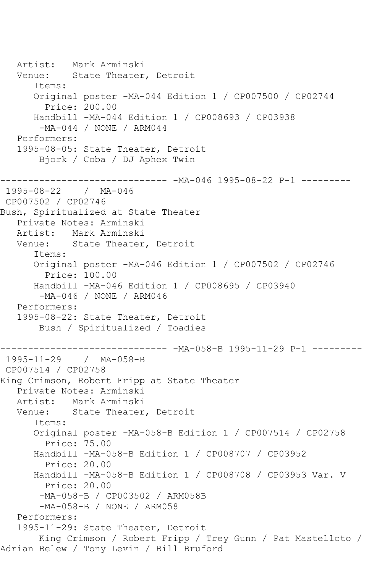Artist: Mark Arminski Venue: State Theater, Detroit Items: Original poster -MA-044 Edition 1 / CP007500 / CP02744 Price: 200.00 Handbill -MA-044 Edition 1 / CP008693 / CP03938 -MA-044 / NONE / ARM044 Performers: 1995-08-05: State Theater, Detroit Bjork / Coba / DJ Aphex Twin ------------------------------ -MA-046 1995-08-22 P-1 --------- 1995-08-22 / MA-046 CP007502 / CP02746 Bush, Spiritualized at State Theater Private Notes: Arminski Artist: Mark Arminski Venue: State Theater, Detroit Items: Original poster -MA-046 Edition 1 / CP007502 / CP02746 Price: 100.00 Handbill -MA-046 Edition 1 / CP008695 / CP03940 -MA-046 / NONE / ARM046 Performers: 1995-08-22: State Theater, Detroit Bush / Spiritualized / Toadies ------------------------------ -MA-058-B 1995-11-29 P-1 --------- 1995-11-29 / MA-058-B CP007514 / CP02758 King Crimson, Robert Fripp at State Theater Private Notes: Arminski Artist: Mark Arminski<br>Venue: State Theater State Theater, Detroit Items: Original poster -MA-058-B Edition 1 / CP007514 / CP02758 Price: 75.00 Handbill -MA-058-B Edition 1 / CP008707 / CP03952 Price: 20.00 Handbill -MA-058-B Edition 1 / CP008708 / CP03953 Var. V Price: 20.00 -MA-058-B / CP003502 / ARM058B -MA-058-B / NONE / ARM058 Performers: 1995-11-29: State Theater, Detroit King Crimson / Robert Fripp / Trey Gunn / Pat Mastelloto / Adrian Belew / Tony Levin / Bill Bruford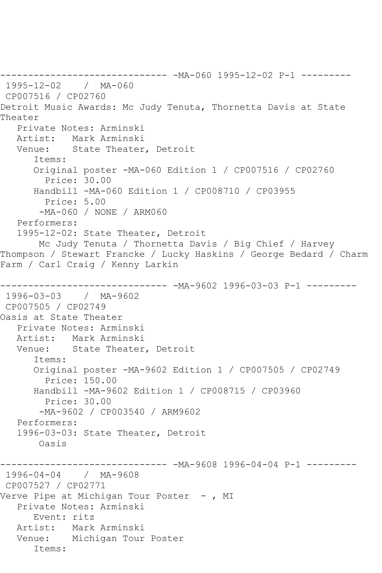------------------------------ -MA-060 1995-12-02 P-1 --------- 1995-12-02 / MA-060 CP007516 / CP02760 Detroit Music Awards: Mc Judy Tenuta, Thornetta Davis at State Theater Private Notes: Arminski Artist: Mark Arminski Venue: State Theater, Detroit Items: Original poster -MA-060 Edition 1 / CP007516 / CP02760 Price: 30.00 Handbill -MA-060 Edition 1 / CP008710 / CP03955 Price: 5.00 -MA-060 / NONE / ARM060 Performers: 1995-12-02: State Theater, Detroit Mc Judy Tenuta / Thornetta Davis / Big Chief / Harvey Thompson / Stewart Francke / Lucky Haskins / George Bedard / Charm Farm / Carl Craig / Kenny Larkin ------------------------------ -MA-9602 1996-03-03 P-1 --------- 1996-03-03 / MA-9602 CP007505 / CP02749 Oasis at State Theater Private Notes: Arminski Artist: Mark Arminski Venue: State Theater, Detroit Items: Original poster -MA-9602 Edition 1 / CP007505 / CP02749 Price: 150.00 Handbill -MA-9602 Edition 1 / CP008715 / CP03960 Price: 30.00 -MA-9602 / CP003540 / ARM9602 Performers: 1996-03-03: State Theater, Detroit Oasis ------------------------------ -MA-9608 1996-04-04 P-1 --------- 1996-04-04 / MA-9608 CP007527 / CP02771 Verve Pipe at Michigan Tour Poster -, MI Private Notes: Arminski Event: ritz Artist: Mark Arminski Venue: Michigan Tour Poster Items: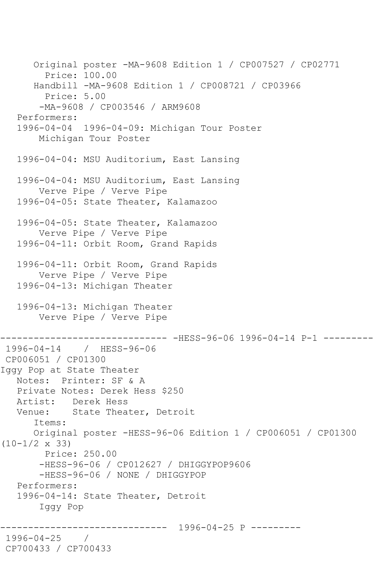Original poster -MA-9608 Edition 1 / CP007527 / CP02771 Price: 100.00 Handbill -MA-9608 Edition 1 / CP008721 / CP03966 Price: 5.00 -MA-9608 / CP003546 / ARM9608 Performers: 1996-04-04 1996-04-09: Michigan Tour Poster Michigan Tour Poster 1996-04-04: MSU Auditorium, East Lansing 1996-04-04: MSU Auditorium, East Lansing Verve Pipe / Verve Pipe 1996-04-05: State Theater, Kalamazoo 1996-04-05: State Theater, Kalamazoo Verve Pipe / Verve Pipe 1996-04-11: Orbit Room, Grand Rapids 1996-04-11: Orbit Room, Grand Rapids Verve Pipe / Verve Pipe 1996-04-13: Michigan Theater 1996-04-13: Michigan Theater Verve Pipe / Verve Pipe ------------------------------ -HESS-96-06 1996-04-14 P-1 --------- 1996-04-14 / HESS-96-06 CP006051 / CP01300 Iggy Pop at State Theater Notes: Printer: SF & A Private Notes: Derek Hess \$250 Artist: Derek Hess<br>Venue: State Thea State Theater, Detroit Items: Original poster -HESS-96-06 Edition 1 / CP006051 / CP01300 (10-1/2 x 33) Price: 250.00 -HESS-96-06 / CP012627 / DHIGGYPOP9606 -HESS-96-06 / NONE / DHIGGYPOP Performers: 1996-04-14: State Theater, Detroit Iggy Pop ------------------------------ 1996-04-25 P --------- 1996-04-25 / CP700433 / CP700433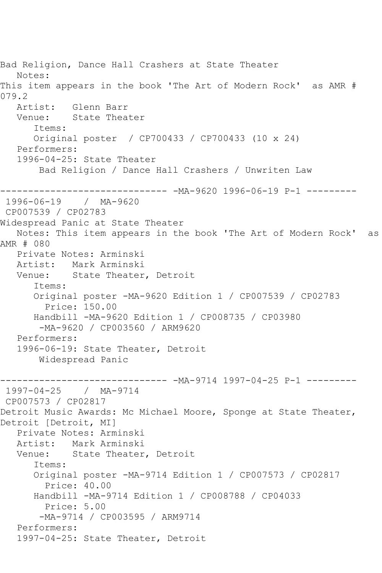Bad Religion, Dance Hall Crashers at State Theater Notes: This item appears in the book 'The Art of Modern Rock' as AMR # 079.2 Artist: Glenn Barr Venue: State Theater Items: Original poster / CP700433 / CP700433 (10 x 24) Performers: 1996-04-25: State Theater Bad Religion / Dance Hall Crashers / Unwriten Law ------------------------------ -MA-9620 1996-06-19 P-1 --------- 1996-06-19 / MA-9620 CP007539 / CP02783 Widespread Panic at State Theater Notes: This item appears in the book 'The Art of Modern Rock' as AMR # 080 Private Notes: Arminski Artist: Mark Arminski Venue: State Theater, Detroit Items: Original poster -MA-9620 Edition 1 / CP007539 / CP02783 Price: 150.00 Handbill -MA-9620 Edition 1 / CP008735 / CP03980 -MA-9620 / CP003560 / ARM9620 Performers: 1996-06-19: State Theater, Detroit Widespread Panic ------------------------------ -MA-9714 1997-04-25 P-1 --------- 1997-04-25 / MA-9714 CP007573 / CP02817 Detroit Music Awards: Mc Michael Moore, Sponge at State Theater, Detroit [Detroit, MI] Private Notes: Arminski Artist: Mark Arminski Venue: State Theater, Detroit Items: Original poster -MA-9714 Edition 1 / CP007573 / CP02817 Price: 40.00 Handbill -MA-9714 Edition 1 / CP008788 / CP04033 Price: 5.00 -MA-9714 / CP003595 / ARM9714 Performers: 1997-04-25: State Theater, Detroit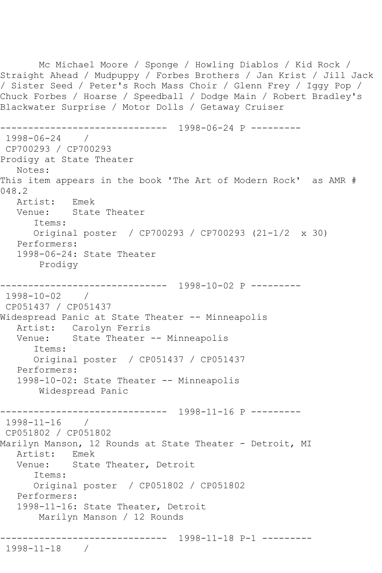Mc Michael Moore / Sponge / Howling Diablos / Kid Rock / Straight Ahead / Mudpuppy / Forbes Brothers / Jan Krist / Jill Jack / Sister Seed / Peter's Roch Mass Choir / Glenn Frey / Iggy Pop / Chuck Forbes / Hoarse / Speedball / Dodge Main / Robert Bradley's Blackwater Surprise / Motor Dolls / Getaway Cruiser ------------------------------ 1998-06-24 P --------- 1998-06-24 / CP700293 / CP700293 Prodigy at State Theater Notes: This item appears in the book 'The Art of Modern Rock' as AMR # 048.2 Artist: Emek Venue: State Theater Items: Original poster / CP700293 / CP700293 (21-1/2 x 30) Performers: 1998-06-24: State Theater Prodigy ------------------------------ 1998-10-02 P --------- 1998-10-02 / CP051437 / CP051437 Widespread Panic at State Theater -- Minneapolis Artist: Carolyn Ferris Venue: State Theater -- Minneapolis Items: Original poster / CP051437 / CP051437 Performers: 1998-10-02: State Theater -- Minneapolis Widespread Panic ------------------------------ 1998-11-16 P --------- 1998-11-16 / CP051802 / CP051802 Marilyn Manson, 12 Rounds at State Theater - Detroit, MI Artist: Emek Venue: State Theater, Detroit Items: Original poster / CP051802 / CP051802 Performers: 1998-11-16: State Theater, Detroit Marilyn Manson / 12 Rounds ------------------------------ 1998-11-18 P-1 --------- 1998-11-18 /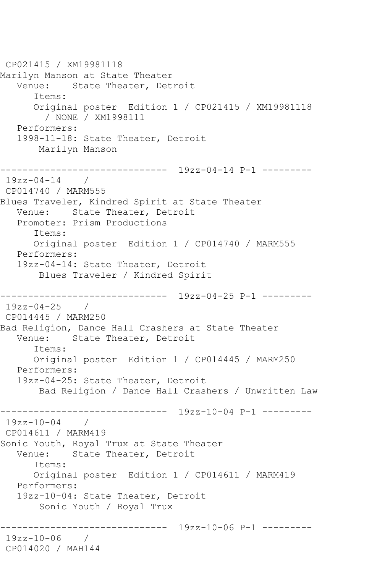CP021415 / XM19981118 Marilyn Manson at State Theater Venue: State Theater, Detroit Items: Original poster Edition 1 / CP021415 / XM19981118 / NONE / XM1998111 Performers: 1998-11-18: State Theater, Detroit Marilyn Manson ------------------------------ 19zz-04-14 P-1 ---------  $19zz-04-14$  / CP014740 / MARM555 Blues Traveler, Kindred Spirit at State Theater Venue: State Theater, Detroit Promoter: Prism Productions Items: Original poster Edition 1 / CP014740 / MARM555 Performers: 19zz-04-14: State Theater, Detroit Blues Traveler / Kindred Spirit ------------------------------ 19zz-04-25 P-1 --------- 19zz-04-25 / CP014445 / MARM250 Bad Religion, Dance Hall Crashers at State Theater Venue: State Theater, Detroit Items: Original poster Edition 1 / CP014445 / MARM250 Performers: 19zz-04-25: State Theater, Detroit Bad Religion / Dance Hall Crashers / Unwritten Law ------------------------------ 19zz-10-04 P-1 --------- 19zz-10-04 / CP014611 / MARM419 Sonic Youth, Royal Trux at State Theater Venue: State Theater, Detroit Items: Original poster Edition 1 / CP014611 / MARM419 Performers: 19zz-10-04: State Theater, Detroit Sonic Youth / Royal Trux ------------------------------ 19zz-10-06 P-1 --------- 19zz-10-06 / CP014020 / MAH144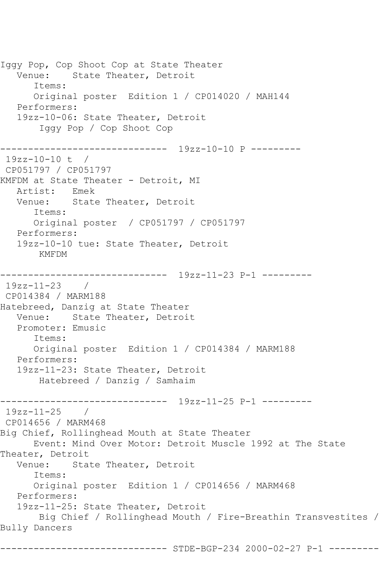Iggy Pop, Cop Shoot Cop at State Theater Venue: State Theater, Detroit Items: Original poster Edition 1 / CP014020 / MAH144 Performers: 19zz-10-06: State Theater, Detroit Iggy Pop / Cop Shoot Cop ------------------------------ 19zz-10-10 P --------- 19zz-10-10 t / CP051797 / CP051797 KMFDM at State Theater - Detroit, MI Artist: Emek Venue: State Theater, Detroit Items: Original poster / CP051797 / CP051797 Performers: 19zz-10-10 tue: State Theater, Detroit KMFDM ------------------------------ 19zz-11-23 P-1 --------- 19zz-11-23 / CP014384 / MARM188 Hatebreed, Danzig at State Theater Venue: State Theater, Detroit Promoter: Emusic Items: Original poster Edition 1 / CP014384 / MARM188 Performers: 19zz-11-23: State Theater, Detroit Hatebreed / Danzig / Samhaim ------------------------------ 19zz-11-25 P-1 --------- 19zz-11-25 / CP014656 / MARM468 Big Chief, Rollinghead Mouth at State Theater Event: Mind Over Motor: Detroit Muscle 1992 at The State Theater, Detroit Venue: State Theater, Detroit Items: Original poster Edition 1 / CP014656 / MARM468 Performers: 19zz-11-25: State Theater, Detroit Big Chief / Rollinghead Mouth / Fire-Breathin Transvestites / Bully Dancers

------------------- STDE-BGP-234 2000-02-27 P-1 ---------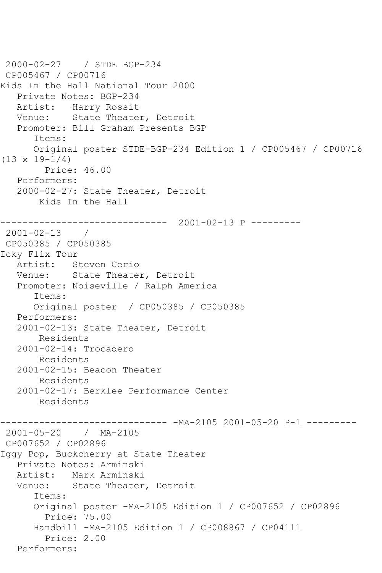```
2000-02-27 / STDE BGP-234
CP005467 / CP00716
Kids In the Hall National Tour 2000
   Private Notes: BGP-234
   Artist: Harry Rossit
   Venue: State Theater, Detroit
   Promoter: Bill Graham Presents BGP
       Items:
       Original poster STDE-BGP-234 Edition 1 / CP005467 / CP00716 
(13 \times 19 - 1/4) Price: 46.00
    Performers:
    2000-02-27: State Theater, Detroit
        Kids In the Hall
      ------------------------------ 2001-02-13 P ---------
2001-02-13 / 
CP050385 / CP050385
Icky Flix Tour
   Artist: Steven Cerio
   Venue: State Theater, Detroit
    Promoter: Noiseville / Ralph America
       Items:
       Original poster / CP050385 / CP050385
   Performers:
    2001-02-13: State Theater, Detroit
        Residents
    2001-02-14: Trocadero
        Residents
    2001-02-15: Beacon Theater
        Residents
    2001-02-17: Berklee Performance Center
        Residents
                          ------------------------------ -MA-2105 2001-05-20 P-1 ---------
2001-05-20 / MA-2105
CP007652 / CP02896
Iggy Pop, Buckcherry at State Theater
    Private Notes: Arminski
   Artist: Mark Arminski
   Venue: State Theater, Detroit
       Items:
       Original poster -MA-2105 Edition 1 / CP007652 / CP02896
         Price: 75.00
       Handbill -MA-2105 Edition 1 / CP008867 / CP04111
         Price: 2.00
   Performers:
```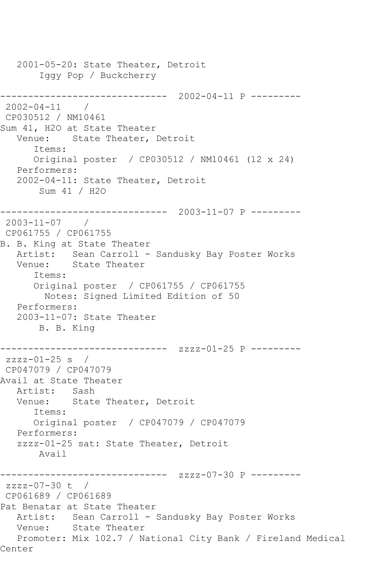2001-05-20: State Theater, Detroit Iggy Pop / Buckcherry ------------------------------ 2002-04-11 P --------- 2002-04-11 / CP030512 / NM10461 Sum 41, H2O at State Theater Venue: State Theater, Detroit Items: Original poster / CP030512 / NM10461 (12 x 24) Performers: 2002-04-11: State Theater, Detroit Sum 41 / H2O ------------------------------ 2003-11-07 P --------- 2003-11-07 / CP061755 / CP061755 B. B. King at State Theater Artist: Sean Carroll - Sandusky Bay Poster Works Venue: State Theater Items: Original poster / CP061755 / CP061755 Notes: Signed Limited Edition of 50 Performers: 2003-11-07: State Theater B. B. King ------------------------------ zzzz-01-25 P --------  $zzzz-01-25$  s / CP047079 / CP047079 Avail at State Theater Artist: Sash Venue: State Theater, Detroit Items: Original poster / CP047079 / CP047079 Performers: zzzz-01-25 sat: State Theater, Detroit Avail ------------------------------ zzzz-07-30 P -------- zzzz-07-30 t / CP061689 / CP061689 Pat Benatar at State Theater Artist: Sean Carroll - Sandusky Bay Poster Works Venue: State Theater Promoter: Mix 102.7 / National City Bank / Fireland Medical Center